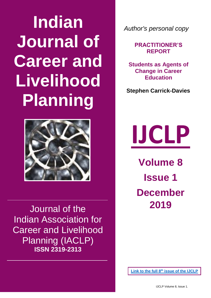# **Indian Journal of Career and Livelihood Planning**



Journal of the Indian Association for Career and Livelihood Planning (IACLP) **ISSN 2319-2313**

*Author's personal copy*

**PRACTITIONER'S REPORT**

**Students as Agents of Change in Career Education**

**Stephen Carrick-Davies** 

**IJCLP**

**Volume 8 Issue 1 December 2019**

**Link to the full 8th [issue of the IJCLP](http://www.iaclp.org/indian_journal_of_career_and_livelihood_planning/current_journal_vol_8_2019)**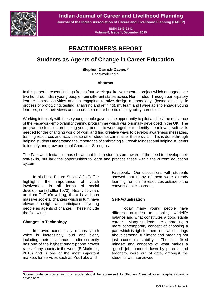**Indian Journal of Career and Livelihood Planning** 



Journal of the Indian Association of Career and Livelihood Planning (IACLP)

**ISSN 2319-2313** Volume 8, Issue 1, December 2019

## **PRACTITIONER'S REPORT**

## **Students as Agents of Change in Career Education**

**Stephen Carrick-Davies \***

Facework India

#### **Abstract**

In this paper I present findings from a four-week qualitative research project which engaged over two hundred Indian young people from different states across North India. Through participatory learner-centred activities and an engaging iterative design methodology, (based on a cyclic process of prototyping, testing, analysing and refining), my team and I were able to engage young learners, seek their views and co-create a more holistic employability curriculum.

Working intensely with these young people gave us the opportunity to pilot and test the relevance of the Facework employability training programme which was originally developed in the UK. The programme focuses on helping young people to work together to identify the relevant soft-skills needed for the changing world of work and find creative ways to develop awareness messages, training resources and activities so other students can master these skills. This is done through helping students understand the importance of embracing a Growth Mindset and helping students to identify and grow personal Character Strengths.

The Facework India pilot has shown that Indian students are aware of the need to develop their soft-skills, but lack the opportunities to learn and practice these within the current education system.

In his book Future Shock Alfin Toffler highlights the importance of youth involvement in all forms of social development (Toffler 1970). Nearly 50 years on from Toffler's writing, there have been massive societal changes which in turn have elevated the rights and participation of young people as agents of change. These include the following:

### **Changes in Technology**

Improved connectivity means youth voice is increasingly loud and clear, including their resistance. India currently has one of the highest smart phone growth rates of any country in the world (E-Marketer, 2018) and is one of the most important markets for services such as YouTube and

Facebook. Our discussions with students showed that many of them were already learning from online resources outside of the conventional classroom.

#### **Self-Actualisation**

Today many young people have different attitudes to mobility work/life balance and what constitutes a good stable career. Many students are embracing a more contemporary concept of choosing a path which is right for them; one which brings about personal fulfilment and meaning not just economic stability. The old, fixed mindset and concepts of what makes a "good" job, handed down by parents and teachers, were out of date, amongst the students we interviewed.

<sup>\*</sup>Correspondence concerning this article should be addressed to Stephen Carrick-Davies: stephen@carrickdavies.com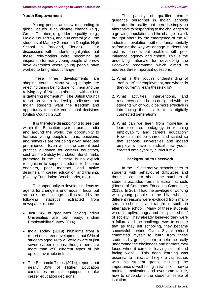#### **Youth Empowerment**

Young people are now responding to global issues such climate change (e.g., Greta Thunberg), gender equality (e.g., Malala Yousafzai), and gun control (e.g., the students of Marjory Stoneman Douglas High School in Parkland, Florida). Our discussions with students highlighted that these role-models were becoming an inspiration for many young people who now have examples where young people have worked to bring about change.

These three developments are shaping youth. Many young people are rejecting things being done 'to' them and the rallying cry of "Nothing about Us without Us" is gathering momentum. The British Council report on youth leadership indicates that Indian students want the freedom and opportunity to make educational decisions (British Council, 2013).

It is therefore disappointing to see that within the Education system across India and around the world, the opportunity to harness young people's ideas, passions, and networks are not being given adequate prominence. Even within the current best practice guidance for careers educators, such as the Gatsby Foundation Benchmarks promoted in the UK there is no explicit recognition to support students to become enablers, peer mentors, and active designers in career education and training. (Gatsby Foundation Benchmarks, n.d.)

The opportunity to develop students as agents for change is enormous in India, but so too is the challenge as illustrated by the following statistics extracted from newspaper reports.

- Just 14% of graduates leaving Indian Universities are job- ready. (Indian Employability Survey 2014)
- India Today (2019) highlights from a report on career development that 93% of students aged 14 to 21 were aware of just seven career options, though there are more than 250 different types of job options available in India.
- The Economic Times (2014), reports that nearly 85% of Higher Education candidates are not equipped to take career education decisions.

The paucity of qualified career guidance personnel in Indian schools illustrates the reality that there is simply no alternative to responding to the challenges of a growing population and the change in work brought about by the emergence of the  $4<sup>th</sup>$ industrial revolution, without fundamentally re-framing the way we engage students not just as learners but enablers with peer influence, agency and choice. This is the underlying rationale for developing the Facework programme which aimed to address three important questions:

- 1. What is the youth's understanding of "soft-skills" for employment, and where do they currently learn these skills?
- 2. What activities, interventions, and resources could be co-designed with the students which would be more effective in introducing these skills to a digitally connected generation?
- 3. What can we learn from modelling a learner-centred pedagogy in teaching employability and careers education? How can this be shared and scaled so that schools, universities and indeed employers have a radical new youthcreated employability curriculum?

#### **Background to Facework**

In the UK alternative schools cater to students with behavioural difficulties and there is concern about the numbers of students excluded from mainstream schools (House of Commons Education Committee, 2018). In 2014 I had the privilege of working with young people in the UK, who for different reasons were excluded from mainstream schooling and taught in such an alternative school. Many of these students were disruptive, angry and felt "pushed-out" of society. They already believed they were a failure and the challenge was to ensure that as they left schooling, they became successful in work. Over a 2-year period I committed myself to learn from these students by getting them to help me really understand the challenges and barriers they faced when it came to leaving school and facing work. This deep learning was essential to unlock and explore vital issues with this student group, including the importance of well-being in transition, how to maintain motivation and overcome failure, how to understand the students' sense of isolation.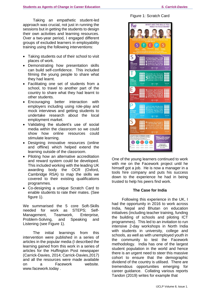Taking an empathetic student-led approach was crucial, not just in running the sessions but in getting the students to design their own activities and learning resources. Over a two-year period, I engaged different groups of excluded learners in employability training using the following interventions:

- Taking students out of their school to visit places of work.
- Demonstrating how presentation skills can build self-confidence. This included filming the young people to share what they had learnt.
- Facilitating one set of students from a school, to travel to another part of the country to share what they had learnt to other students.
- Encouraging better interaction with employers including using role-play and mock interviews and getting students to undertake research about the local employment market.
- Validating the student's use of social media within the classroom so we could show how online resources could stimulate learning.
- Designing innovative resources (online and offline) which helped extend the learning outside of the classroom.
- Piloting how an alternative accreditation and reward system could be developed. This included working with the leading UK awarding body the OCR (Oxford, Cambridge RSA) to map the skills we covered to their existing qualifications programmes.
- Co-designing a unique Scratch Card to enable students to rate their mates. (See figure 1).

We summarised the 5 core Soft-Skills needed for work as STEPS; Self-Management, Teamwork, Enterprise, Problem-Solving, and Speaking and Listening (see Figure 1).

The initial learnings from this intervention were published in a series of articles in the popular media (I described the learning gained from this work in a series of articles for the Huffington Post newspaper (Carrick-Davies, 2014; Carrick-Davies,2017) and all the resources were made available on a Facework website. www.facework.today .

Figure 1: Scratch Card



One of the young learners continued to work with me on the Facework project until he himself got a job. He is now a manager in a tools hire company and puts his success down to the experience he had in being trusted to help his peers find work.

#### **The Case for India**

Following this experience in the UK, I had the opportunity in 2016 to work across India, Nepal and Bhutan on education initiatives (including teacher training, funding the building of schools and piloting ICT programmes). This led to an invitation to run intensive 2-day workshops in North India with students in university, college and schools, as well as with unemployed youth in the community to test the Facework methodology. India has one of the largest student population in the world and hence there is an urgent need to steer this massive cohort to ensure that the demographic dividend of the country is utilised. There are tremendous opportunities emerging for career guidance. Collating various reports Tandon (2019) writes for example that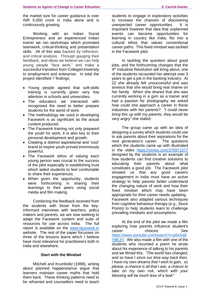the market size for career guidance is over INR 5,000 crore in India alone and is continuously growing.

Working with an Indian Social Entrepreneur and an experienced Indian trainer we ran workshops which promoted teamwork, critical-thinking and presentation skills. All of this was backed by reflection, and critical analysis. Through gauging their feedback, and ideas we believe we can help young people "face work," and make a successful transition from College/University to employment and enterprise. In total the project identified 7 findings:

- Young people agreed that soft-skills training is currently given very low attention in schools and universities.
- The educators we interacted with recognised the need to better prepare students for the world of work.
- The methodology we used in developing Facework is as significant as the actual content produced.
- The Facework training not only prepared the youth for work, it is also key to their personal development and growth.
- Creating a distinct aspirational and 'cool' brand to inspire youth proved enormously powerful.
- The Facework ethos of valuing each young person was crucial to the success of the pilot especially in establishing trust which aided students to feel comfortable to share their experiences.
- When given the opportunity, students were forthcoming in sharing their learnings to their peers using social media and film making.

Combining the feedback received from the students with those from the keyinformant interviews with teachers, policy makers and parents, we are now seeking to adapt the Facework content and suite of resources for use across India. The full report is available on the [www.facework.in](http://www.facework.in/) website. The rest of the paper focusses on three of the lessons learnt which I believe have most relevance for practitioners both in India and elsewhere.

#### **Start with the Mindset**

Mitchell and Krumboltz (1999), writing about planned happenstance argue that learners maintain career myths that hold them back. These thinking patterns need to be reframed and counsellors need to teach

students to engage in exploratory activities to increase the chances of discovering unexpected career opportunities. It is important however that idea that unplanned events can become opportunities for learning in country like India, fits into a cultural ethos that values conventional career paths. This fixed mindset was tackled in the Facework pilot.

In tackling the question about good jobs, and the forthcoming changes that the 4<sup>th</sup> Industrial Revolution will bring about, one of the students recounted her attempt over 3 years to get a job in the banking industry. At 22 she already felt unsuccessful and was anxious that she would bring real shame on her family. When she shared that she was currently working in a gym as a trainer and had a passion for photography we asked how could she approach a career in these industries with her parents? *"I could never bring this up with my parents, they would be very angry"* she stated.

The group came up with an idea of designing a survey which students could use to ask parents about their aspirations for the next generation's career. The questions which the students came up with illustrated in the video <https://vimeo.com/379971077> designed by the students is an example of how students can find creative solutions to educating their parents about what constitutes a good job. The Facework pilot showed us that any good careers engagement in India must have an active strategy to help parents better understand the changing nature of work and how their fixed mindset which may have been appropriate for their career needs updating. Facework also adapted various techniques from cognitive behaviour therapy (e.g., Stuck Points) to help students learn to challenge prevailing mindsets and assumptions.

At the end of the pilot we made a film exploring how parents influence student's career choices. See [https://www.youtube.com/watch?v=p0eXq8](https://www.youtube.com/watch?v=p0eXq8Y8K3Y) [Y8K3Y.](https://www.youtube.com/watch?v=p0eXq8Y8K3Y) We also made a film with one of the students who recorded a poem he wrote about his experience of talking to his parents and we filmed this. *"The world has changed, and so have I since our time way back then, I have my own dreams that I wish to gain, so please, a chance is all that I ask, a chance to take on my own risk, which with your blessing will be much less of a task"*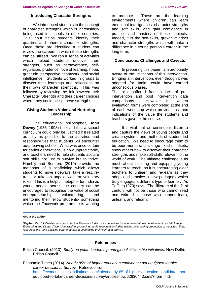#### **Introducing Character Strengths**

We introduced students to the concept of character strengths which is increasingly being used in schools in other countries. This input helps students identify their qualities and inherent character strengths. Once these are identified a student can review the careers in which these strengths can be utilised. We ran a series of activities which helped students uncover their strengths, such as perseverance, selfregulation, prudence, love of learning, hope, gratitude, perspective, teamwork, and social intelligence. Students worked in groups to discuss their learnings and reflections on their own character strengths. This was followed by reviewing the link between their Character Strength and their career choices where they could utilise these strengths.

#### **Giving Students Voice and Nurturing Leadership**

The educational philosopher, **John Dewey** (1938–1998) believed that a school curriculum could only be justified if it related as fully as possible to the activities and responsibilities that students will encounter *after* leaving school. What was once certain for earlier generations, is now unpredictable, and teachers need to help students acquire soft skills not just to survive but to thrive. Hambly and Bomford (2019) provide the metaphor of a scaffolding which allows students to move sideways, take a rest, retrain or take on unpaid work or voluntary roles. This is a helpful metaphor for India as young people across the country can be encouraged to recognise the value of social entrepreneurship, volunteering, and mentoring their fellow students- something which the Facework programme is wanting

to promote. These are the learning environments where children can learn emotional intelligences, character strengths and soft skills, and gain confidence in practice and mastery of these subjects. Indeed, it is the soft-skills, growth mindset and character strengths which will make a difference in a young person's career in the long term.

#### **Conclusions, Challenges and Caveats**

In preparing this paper I am profoundly aware of the limitations of this intervention. Bringing an intervention, even though it was adapted for India, could have carried unconscious biases. The pilot suffered from a lack of pre-

intervention and post intervention data comparisons. However full written evaluation forms were completed at the end of each workshop which provide post hoc indications of the value the students and teachers gave to the course.

It is vital that we continue to listen to and capture the views of young people and create systems and methods of student-led education. We need to encourage them to be peer-mentors, challenge fixed mindsets, show others how to discover their character strengths and make soft-skills relevant to the world of work. The ultimate challenge is as much about inspiring and equipping young learners to teach, as it is encouraging older teachers to unlearn and re-learn as they adopt and practice a new pedagogy which truly engages a different type of learner. As Toffler (1970) says, "The illiterate of the 21st century will not be those who cannot read and write, but those who cannot learn, unlearn, and relearn."

#### **About the author**

*Stephen Carrick-Davies, is a consultant at Facework India. His specialities include, international development, social change, E-Learning and Digital Citizenship training, producing media resources including writing, overseeing production of websites, films, resources etc., and advising other charities in developing their work and growth.*

#### **References**

British Council. (2013). *Study on youth leadership and global citizenship initiatives*. New Delhi: British Council.

Economic Times (2014). *Nearly 85% of higher education candidates not equipped to take career decisions: Survey*. Retrieved from <https://economictimes.indiatimes.com/jobs/nearly-85-of-higher-education-candidates-not->

equipped-to-take-career-decisions-survey/articleshow/62636443.cms?from=mdr